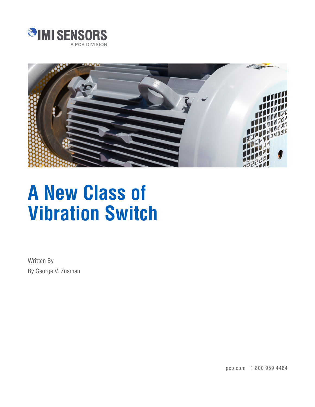



# **A New Class of Vibration Switch**

Written By By George V. Zusman

pcb.com | 1 800 959 4464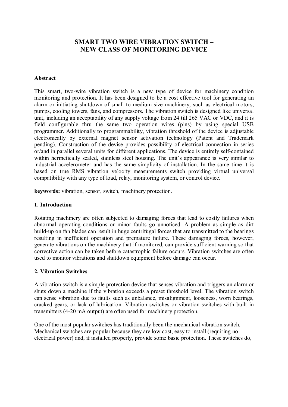# **SMART TWO WIRE VIBRATION SWITCH – NEW CLASS OF MONITORING DEVICE**

#### **Abstract**

This smart, two-wire vibration switch is a [new type of devic](mailto:gzusman@pcb.com)e for machinery condition monitoring and protection. It has been designed to be a cost effective tool for generating an alarm or initiating shutdown of small to medium-size machinery, such as electrical motors, pumps, cooling towers, fans, and compressors. The vibration switch is designed like universal unit, including an acceptability of any supply voltage from 24 till 265 VAC or VDC, and it is field configurable thru the same two operation wires (pins) by using special USB programmer. Additionally to programmability, vibration threshold of the device is adjustable electronically by external magnet sensor activation technology (Patent and Trademark pending). Construction of the devise provides possibility of electrical connection in series or/and in parallel several units for different applications. The device is entirely self-contained within hermetically sealed, stainless steel housing. The unit's appearance is very similar to industrial accelerometer and has the same simplicity of installation. In the same time it is based on true RMS vibration velocity measurements switch providing virtual universal compatibility with any type of load, relay, monitoring system, or control device.

**keywords:** vibration, sensor, switch, machinery protection.

#### **1. Introduction**

Rotating machinery are often subjected to damaging forces that lead to costly failures when abnormal operating conditions or minor faults go unnoticed. A problem as simple as dirt build-up on fan blades can result in huge centrifugal forces that are transmitted to the bearings resulting in inefficient operation and premature failure. These damaging forces, however, generate vibrations on the machinery that if monitored, can provide sufficient warning so that corrective action can be taken before catastrophic failure occurs. Vibration switches are often used to monitor vibrations and shutdown equipment before damage can occur.

#### **2. Vibration Switches**

A vibration switch is a simple protection device that senses vibration and triggers an alarm or shuts down a machine if the vibration exceeds a preset threshold level. The vibration switch can sense vibration due to faults such as unbalance, misalignment, looseness, worn bearings, cracked gears, or lack of lubrication. Vibration switches or vibration switches with built in transmitters (4-20 mA output) are often used for machinery protection.

One of the most popular switches has traditionally been the mechanical vibration switch. Mechanical switches are popular because they are low cost, easy to install (requiring no electrical power) and, if installed properly, provide some basic protection. These switches do,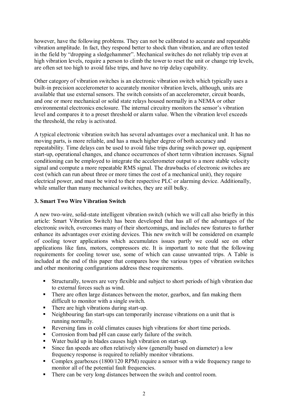however, have the following problems. They can not be calibrated to accurate and repeatable vibration amplitude. In fact, they respond better to shock than vibration, and are often tested in the field by "dropping a sledgehammer". Mechanical switches do not reliably trip even at high vibration levels, require a person to climb the tower to reset the unit or change trip levels, are often set too high to avoid false trips, and have no trip delay capability.

Other category of vibration switches is an electronic vibration switch which typically uses a built-in precision accelerometer to accurately monitor vibration levels, although, units are available that use external sensors. The switch consists of an accelerometer, circuit boards, and one or more mechanical or solid state relays housed normally in a NEMA or other environmental electronics enclosure. The internal circuitry monitors the sensor's vibration level and compares it to a preset threshold or alarm value. When the vibration level exceeds the threshold, the relay is activated.

A typical electronic vibration switch has several advantages over a mechanical unit. It has no moving parts, is more reliable, and has a much higher degree of both accuracy and repeatability. Time delays can be used to avoid false trips during switch power up, equipment start-up, operational changes, and chance occurrences of short term vibration increases. Signal conditioning can be employed to integrate the accelerometer output to a more stable velocity signal and compute a more repeatable RMS signal. The drawbacks of electronic switches are cost (which can run about three or more times the cost of a mechanical unit), they require electrical power, and must be wired to their respective PLC or alarming device. Additionally, while smaller than many mechanical switches, they are still bulky.

# **3. Smart Two Wire Vibration Switch**

A new two-wire, solid-state intelligent vibration switch (which we will call also briefly in this article: Smart Vibration Switch) has been developed that has all of the advantages of the electronic switch, overcomes many of their shortcomings, and includes new features to further enhance its advantages over existing devices. This new switch will be considered on example of cooling tower applications which accumulates issues partly we could see on other applications like fans, motors, compressors etc. It is important to note that the following requirements for cooling tower use, some of which can cause unwanted trips. A Table is included at the end of this paper that compares how the various types of vibration switches and other monitoring configurations address these requirements.

- Structurally, towers are very flexible and subject to short periods of high vibration due to external forces such as wind.
- There are often large distances between the motor, gearbox, and fan making them difficult to monitor with a single switch.
- There are high vibrations during start-up.
- Neighbouring fan start-ups can temporarily increase vibrations on a unit that is running normally.
- Reversing fans in cold climates causes high vibrations for short time periods.
- Corrosion from bad pH can cause early failure of the switch.
- Water build up in blades causes high vibration on start-up.
- Since fan speeds are often relatively slow (generally based on diameter) a low frequency response is required to reliably monitor vibrations.
- Complex gearboxes (1800/120 RPM) require a sensor with a wide frequency range to monitor all of the potential fault frequencies.
- There can be very long distances between the switch and control room.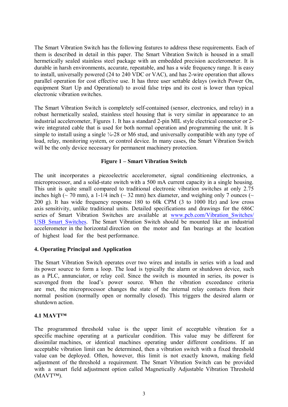The Smart Vibration Switch has the following features to address these requirements. Each of them is described in detail in this paper. The Smart Vibration Switch is housed in a small hermetically sealed stainless steel package with an embedded precision accelerometer. It is durable in harsh environments, accurate, repeatable, and has a wide frequency range. It is easy to install, universally powered (24 to 240 VDC or VAC), and has 2-wire operation that allows parallel operation for cost effective use. It has three user settable delays (switch Power On, equipment Start Up and Operational) to avoid false trips and its cost is lower than typical electronic vibration switches.

The Smart Vibration Switch is completely self-contained (sensor, electronics, and relay) in a robust hermetically sealed, stainless steel housing that is very similar in appearance to an industrial accelerometer, Figures 1. It has a standard 2-pin MIL style electrical connector or 2 wire integrated cable that is used for both normal operation and programming the unit. It is simple to install using a single ¼-28 or M6 stud, and universally compatible with any type of load, relay, monitoring system, or control device. In many cases, the Smart Vibration Switch will be the only device necessary for permanent machinery protection.

# **Figure 1 – Smart Vibration Switch**

The unit incorporates a piezoelectric accelerometer, signal conditioning electronics, a microprocessor, and a solid-state switch with a 500 mA current capacity in a single housing. This unit is quite small compared to traditional electronic vibration switches at only 2.75 inches high ( $\sim$  70 mm), a 1-1/4 inch ( $\sim$  32 mm) hex diameter, and weighing only 7 ounces ( $\sim$ 200 g). It has wide frequency response 180 to 60k CPM (3 to 1000 Hz) and low cross axis sensitivity, unlike traditional units. Detailed specifications and drawings for the 686C series of Smart Vibration Switches are available at www.pcb.com/Vibration Switches/ [USB\\_Smart\\_Switches](http://www.pcb.com/Vibration_Switches/USB_Smart_Switches). The Smart Vibration Switch should be mounted like an industrial accelerometer in the horizontal direction on the motor and fan bearings at the location of highest load for the best performance.

#### **4. Operating Principal and Application**

The Smart Vibration Switch operates over two wires and installs in series with a load and its power source to form a loop. The load is typically the alarm or shutdown device, such as a PLC, annunciator, or relay coil. Since the switch is mounted in series, its power is scavenged from the load's power source. When the vibration exceedance criteria are met, the microprocessor changes the state of the internal relay contacts from their normal position (normally open or normally closed). This triggers the desired alarm or shutdown action.

#### **4.1 MAVT™**

The programmed threshold value is the upper limit of acceptable vibration for a specific machine operating at a particular condition. This value may be different for dissimilar machines, or identical machines operating under different conditions. If an acceptable vibration limit can be determined, then a vibration switch with a fixed threshold value can be deployed. Often, however, this limit is not exactly known, making field adjustment of the threshold a requirement. The Smart Vibration Switch can be provided with a smart field adjustment option called Magnetically Adjustable Vibration Threshold (MAVT™).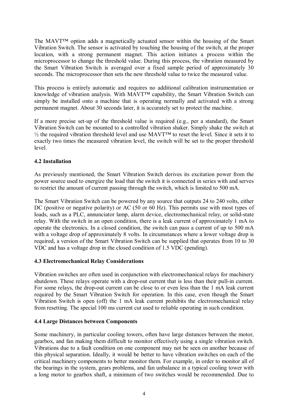The MAVT™ option adds a magnetically actuated sensor within the housing of the Smart Vibration Switch. The sensor is activated by touching the housing of the switch, at the proper location, with a strong permanent magnet. This action initiates a process within the microprocessor to change the threshold value. During this process, the vibration measured by the Smart Vibration Switch is averaged over a fixed sample period of approximately 30 seconds. The microprocessor then sets the new threshold value to twice the measured value.

This process is entirely automatic and requires no additional calibration instrumentation or knowledge of vibration analysis. With MAVT™ capability, the Smart Vibration Switch can simply be installed onto a machine that is operating normally and activated with a strong permanent magnet. About 30 seconds later, it is accurately set to protect the machine.

If a more precise set-up of the threshold value is required (e.g., per a standard), the Smart Vibration Switch can be mounted to a controlled vibration shaker. Simply shake the switch at  $\frac{1}{2}$  the required vibration threshold level and use MAVT<sup>™</sup> to reset the level. Since it sets it to exactly two times the measured vibration level, the switch will be set to the proper threshold level.

# **4.2 Installation**

As previously mentioned, the Smart Vibration Switch derives its excitation power from the power source used to energize the load that the switch it is connected in series with and serves to restrict the amount of current passing through the switch, which is limited to 500 mA.

The Smart Vibration Switch can be powered by any source that outputs 24 to 240 volts, either DC (positive or negative polarity) or AC (50 or 60 Hz). This permits use with most types of loads, such as a PLC, annunciator lamp, alarm device, electromechanical relay, or solid-state relay. With the switch in an open condition, there is a leak current of approximately 1 mA to operate the electronics. In a closed condition, the switch can pass a current of up to 500 mA with a voltage drop of approximately 8 volts. In circumstances where a lower voltage drop is required, a version of the Smart Vibration Switch can be supplied that operates from 10 to 30 VDC and has a voltage drop in the closed condition of 1.5 VDC (pending).

#### **4.3 Electromechanical Relay Considerations**

Vibration switches are often used in conjunction with electromechanical relays for machinery shutdown. These relays operate with a drop-out current that is less than their pull-in current. For some relays, the drop-out current can be close to or even less than the 1 mA leak current required by the Smart Vibration Switch for operation. In this case, even though the Smart Vibration Switch is open (off) the 1 mA leak current prohibits the electromechanical relay from resetting. The special 100 ms current cut used to reliable operating in such condition.

#### **4.4 Large Distances between Components**

Some machinery, in particular cooling towers, often have large distances between the motor, gearbox, and fan making them difficult to monitor effectively using a single vibration switch. Vibrations due to a fault condition on one component may not be seen on another because of this physical separation. Ideally, it would be better to have vibration switches on each of the critical machinery components to better monitor them. For example, in order to monitor all of the bearings in the system, gears problems, and fan unbalance in a typical cooling tower with a long motor to gearbox shaft, a minimum of two switches would be recommended. Due to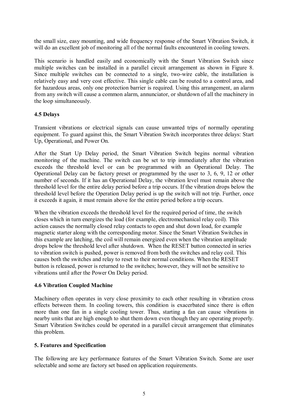the small size, easy mounting, and wide frequency response of the Smart Vibration Switch, it will do an excellent job of monitoring all of the normal faults encountered in cooling towers.

This scenario is handled easily and economically with the Smart Vibration Switch since multiple switches can be installed in a parallel circuit arrangement as shown in Figure 8. Since multiple switches can be connected to a single, two-wire cable, the installation is relatively easy and very cost effective. This single cable can be routed to a control area, and for hazardous areas, only one protection barrier is required. Using this arrangement, an alarm from any switch will cause a common alarm, annunciator, or shutdown of all the machinery in the loop simultaneously.

#### **4.5 Delays**

Transient vibrations or electrical signals can cause unwanted trips of normally operating equipment. To guard against this, the Smart Vibration Switch incorporates three delays: Start Up, Operational, and Power On.

After the Start Up Delay period, the Smart Vibration Switch begins normal vibration monitoring of the machine. The switch can be set to trip immediately after the vibration exceeds the threshold level or can be programmed with an Operational Delay. The Operational Delay can be factory preset or programmed by the user to 3, 6, 9, 12 or other number of seconds. If it has an Operational Delay, the vibration level must remain above the threshold level for the entire delay period before a trip occurs. If the vibration drops below the threshold level before the Operation Delay period is up the switch will not trip. Further, once it exceeds it again, it must remain above for the entire period before a trip occurs.

When the vibration exceeds the threshold level for the required period of time, the switch closes which in turn energizes the load (for example, electromechanical relay coil). This action causes the normally closed relay contacts to open and shut down load, for example magnetic starter along with the corresponding motor. Since the Smart Vibration Switches in this example are latching, the coil will remain energized even when the vibration amplitude drops below the threshold level after shutdown. When the RESET button connected in series to vibration switch is pushed, power is removed from both the switches and relay coil. This causes both the switches and relay to reset to their normal conditions. When the RESET button is released, power is returned to the switches; however, they will not be sensitive to vibrations until after the Power On Delay period.

#### **4.6 Vibration Coupled Machine**

Machinery often operates in very close proximity to each other resulting in vibration cross effects between them. In cooling towers, this condition is exacerbated since there is often more than one fan in a single cooling tower. Thus, starting a fan can cause vibrations in nearby units that are high enough to shut them down even though they are operating properly. Smart Vibration Switches could be operated in a parallel circuit arrangement that eliminates this problem.

#### **5. Features and Specification**

The following are key performance features of the Smart Vibration Switch. Some are user selectable and some are factory set based on application requirements.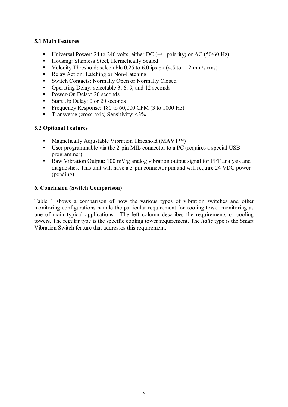# **5.1 Main Features**

- Universal Power: 24 to 240 volts, either DC  $(+/-$  polarity) or AC (50/60 Hz)
- Housing: Stainless Steel, Hermetically Sealed
- Velocity Threshold: selectable  $0.25$  to  $6.0$  ips pk (4.5 to 112 mm/s rms)
- Relay Action: Latching or Non-Latching
- Switch Contacts: Normally Open or Normally Closed
- Operating Delay: selectable  $3, 6, 9$ , and 12 seconds
- Power-On Delay: 20 seconds
- Start Up Delay: 0 or 20 seconds
- Frequency Response:  $180$  to  $60,000$  CPM (3 to  $1000$  Hz)
- **Transverse (cross-axis) Sensitivity:**  $\leq 3\%$

#### **5.2 Optional Features**

- Magnetically Adjustable Vibration Threshold (MAVT<sup>™</sup>)
- User programmable via the 2-pin MIL connector to a PC (requires a special USB programmer)
- Raw Vibration Output: 100 mV/g analog vibration output signal for FFT analysis and diagnostics. This unit will have a 3-pin connector pin and will require 24 VDC power (pending).

#### **6. Conclusion (Switch Comparison)**

Table 1 shows a comparison of how the various types of vibration switches and other monitoring configurations handle the particular requirement for cooling tower monitoring as one of main typical applications. The left column describes the requirements of cooling towers. The regular type is the specific cooling tower requirement. The *italic* type is the Smart Vibration Switch feature that addresses this requirement.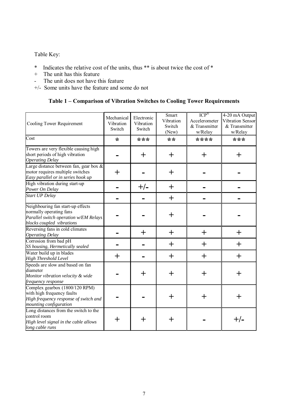Table Key:

- \* Indicates the relative cost of the units, thus \*\* is about twice the cost of \*
- + The unit has this feature
- The unit does not have this feature
- +/- Some units have the feature and some do not

# **Table 1 – Comparison of Vibration Switches to Cooling Tower Requirements**

| Cooling Tower Requirement                                                                                                          | Mechanical<br>Vibration<br>Switch | Electronic<br>Vibration<br>Switch | Smart<br>Vibration<br>Switch<br>(New) | $ICP^{\otimes}$<br>Accelerometer<br>& Transmitter<br>w/Relay | 4-20 mA Output<br>Vibration Sensor<br>& Transmitter<br>w/Relay |
|------------------------------------------------------------------------------------------------------------------------------------|-----------------------------------|-----------------------------------|---------------------------------------|--------------------------------------------------------------|----------------------------------------------------------------|
| $\overline{\text{Cost}}$                                                                                                           | $\ast$                            | ***                               | $**$                                  | ****                                                         | ***                                                            |
| Towers are very flexible causing high<br>short periods of high vibration<br><b>Operating Delay</b>                                 |                                   | $\pm$                             | $\pm$                                 | $\pm$                                                        | $\pm$                                                          |
| Large distance between fan, gear box $\&$<br>motor requires multiple switches<br>Easy parallel or in series hook up                | $\pm$                             |                                   | $\pm$                                 |                                                              |                                                                |
| High vibration during start-up<br>Power On Delay                                                                                   |                                   | $+/-$                             | $\pm$                                 |                                                              |                                                                |
| <b>Start UP Delay</b>                                                                                                              |                                   |                                   | $\pm$                                 |                                                              |                                                                |
| Neighbouring fan start-up effects<br>normally operating fans<br>Parallel switch operation w/EM Relays<br>blocks coupled vibrations |                                   |                                   | $\pm$                                 |                                                              |                                                                |
| Reversing fans in cold climates<br><b>Operating Delay</b>                                                                          |                                   | $\pm$                             | $+$                                   | $\pm$                                                        | $\pm$                                                          |
| Corrosion from bad pH<br>SS housing, Hermetically sealed                                                                           |                                   |                                   | $\pm$                                 | $\pm$                                                        | $\pm$                                                          |
| Water build up in blades<br>High Threshold Level                                                                                   | $\pm$                             |                                   | $\pm$                                 | $\pm$                                                        | $\pm$                                                          |
| Speeds are slow and based on fan<br>diameter<br>Monitor vibration velocity & wide<br>frequency response                            |                                   | $\pm$                             | $+$                                   | $\pm$                                                        | $\pm$                                                          |
| Complex gearbox (1800/120 RPM)<br>with high frequency faults<br>High frequency response of switch and<br>mounting configuration    |                                   |                                   | $+$                                   | $\pm$                                                        | $\pm$                                                          |
| Long distances from the switch to the<br>control room<br>High level signal in the cable allows<br>long cable runs                  |                                   | ┿                                 | ┿                                     |                                                              | $+/-$                                                          |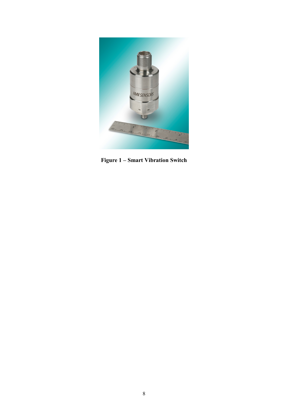

**Figure 1 – Smart Vibration Switch**